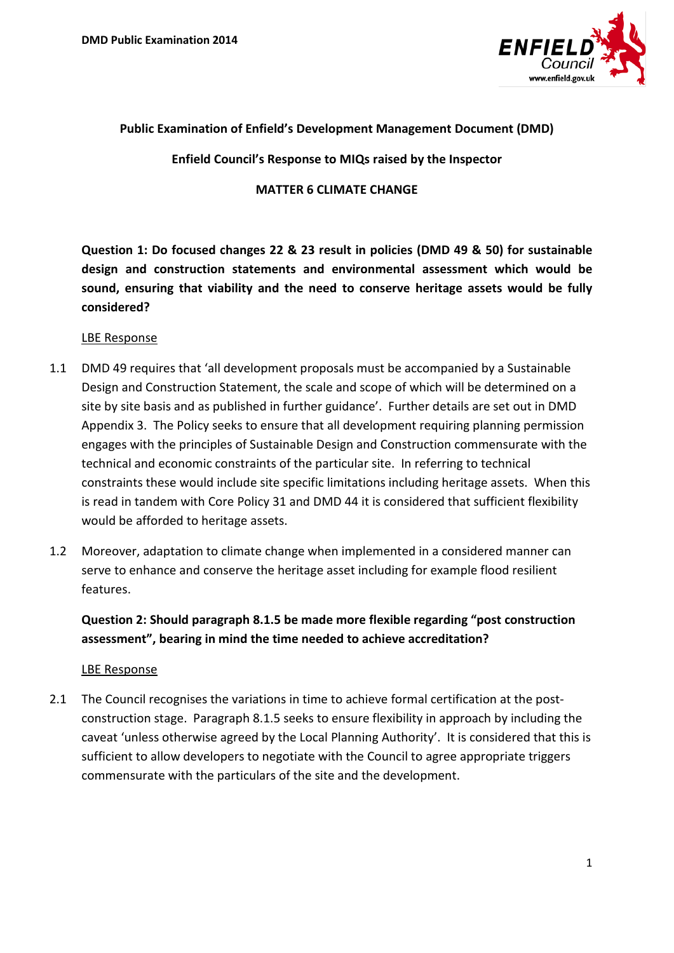

## **Public Examination of Enfield's Development Management Document (DMD)**

**Enfield Council's Response to MIQs raised by the Inspector** 

#### **MATTER 6 CLIMATE CHANGE**

**Question 1: Do focused changes 22 & 23 result in policies (DMD 49 & 50) for sustainable design and construction statements and environmental assessment which would be sound, ensuring that viability and the need to conserve heritage assets would be fully considered?**

#### LBE Response

- 1.1 DMD 49 requires that 'all development proposals must be accompanied by a Sustainable Design and Construction Statement, the scale and scope of which will be determined on a site by site basis and as published in further guidance'. Further details are set out in DMD Appendix 3. The Policy seeks to ensure that all development requiring planning permission engages with the principles of Sustainable Design and Construction commensurate with the technical and economic constraints of the particular site. In referring to technical constraints these would include site specific limitations including heritage assets. When this is read in tandem with Core Policy 31 and DMD 44 it is considered that sufficient flexibility would be afforded to heritage assets.
- 1.2 Moreover, adaptation to climate change when implemented in a considered manner can serve to enhance and conserve the heritage asset including for example flood resilient features.

**Question 2: Should paragraph 8.1.5 be made more flexible regarding "post construction assessment", bearing in mind the time needed to achieve accreditation?**

### LBE Response

2.1 The Council recognises the variations in time to achieve formal certification at the postconstruction stage. Paragraph 8.1.5 seeks to ensure flexibility in approach by including the caveat 'unless otherwise agreed by the Local Planning Authority'. It is considered that this is sufficient to allow developers to negotiate with the Council to agree appropriate triggers commensurate with the particulars of the site and the development.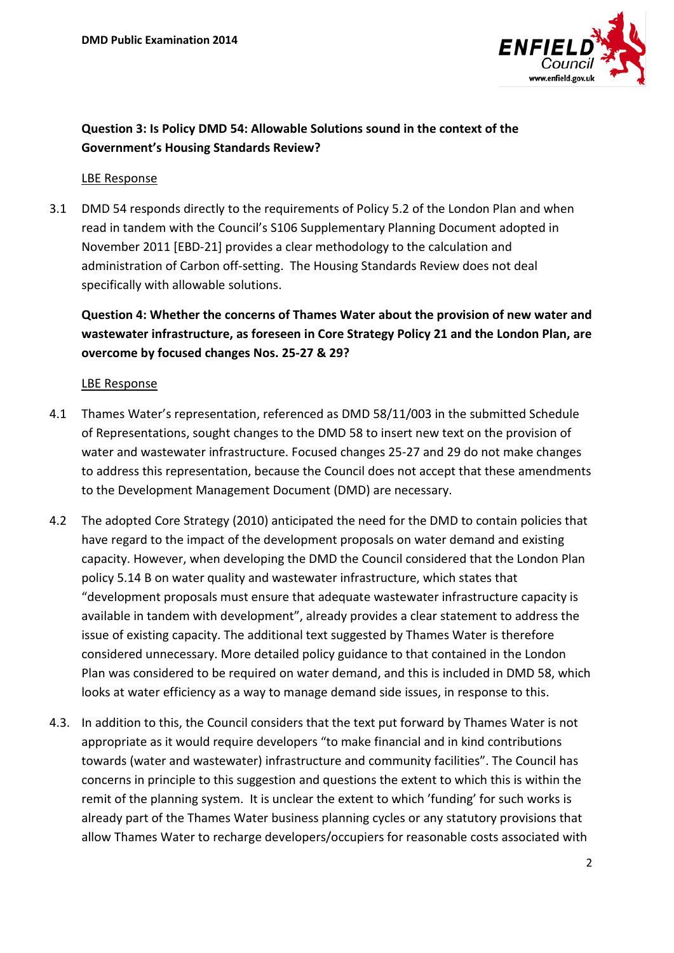

# **Question 3: Is Policy DMD 54: Allowable Solutions sound in the context of the Government's Housing Standards Review?**

### LBE Response

3.1 DMD 54 responds directly to the requirements of Policy 5.2 of the London Plan and when read in tandem with the Council's S106 Supplementary Planning Document adopted in November 2011 [EBD-21] provides a clear methodology to the calculation and administration of Carbon off-setting. The Housing Standards Review does not deal specifically with allowable solutions.

**Question 4: Whether the concerns of Thames Water about the provision of new water and wastewater infrastructure, as foreseen in Core Strategy Policy 21 and the London Plan, are overcome by focused changes Nos. 25-27 & 29?**

### LBE Response

- 4.1 Thames Water's representation, referenced as DMD 58/11/003 in the submitted Schedule of Representations, sought changes to the DMD 58 to insert new text on the provision of water and wastewater infrastructure. Focused changes 25-27 and 29 do not make changes to address this representation, because the Council does not accept that these amendments to the Development Management Document (DMD) are necessary.
- 4.2 The adopted Core Strategy (2010) anticipated the need for the DMD to contain policies that have regard to the impact of the development proposals on water demand and existing capacity. However, when developing the DMD the Council considered that the London Plan policy 5.14 B on water quality and wastewater infrastructure, which states that "development proposals must ensure that adequate wastewater infrastructure capacity is available in tandem with development", already provides a clear statement to address the issue of existing capacity. The additional text suggested by Thames Water is therefore considered unnecessary. More detailed policy guidance to that contained in the London Plan was considered to be required on water demand, and this is included in DMD 58, which looks at water efficiency as a way to manage demand side issues, in response to this.
- 4.3. In addition to this, the Council considers that the text put forward by Thames Water is not appropriate as it would require developers "to make financial and in kind contributions towards (water and wastewater) infrastructure and community facilities". The Council has concerns in principle to this suggestion and questions the extent to which this is within the remit of the planning system. It is unclear the extent to which 'funding' for such works is already part of the Thames Water business planning cycles or any statutory provisions that allow Thames Water to recharge developers/occupiers for reasonable costs associated with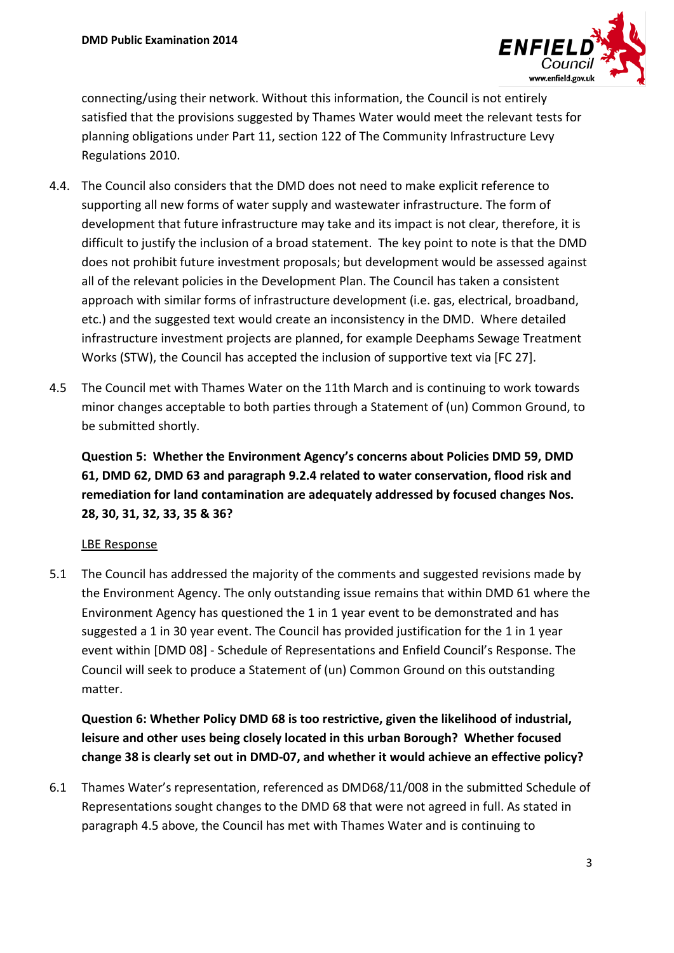

connecting/using their network. Without this information, the Council is not entirely satisfied that the provisions suggested by Thames Water would meet the relevant tests for planning obligations under Part 11, section 122 of The Community Infrastructure Levy Regulations 2010.

- 4.4. The Council also considers that the DMD does not need to make explicit reference to supporting all new forms of water supply and wastewater infrastructure. The form of development that future infrastructure may take and its impact is not clear, therefore, it is difficult to justify the inclusion of a broad statement. The key point to note is that the DMD does not prohibit future investment proposals; but development would be assessed against all of the relevant policies in the Development Plan. The Council has taken a consistent approach with similar forms of infrastructure development (i.e. gas, electrical, broadband, etc.) and the suggested text would create an inconsistency in the DMD. Where detailed infrastructure investment projects are planned, for example Deephams Sewage Treatment Works (STW), the Council has accepted the inclusion of supportive text via [FC 27].
- 4.5 The Council met with Thames Water on the 11th March and is continuing to work towards minor changes acceptable to both parties through a Statement of (un) Common Ground, to be submitted shortly.

**Question 5: Whether the Environment Agency's concerns about Policies DMD 59, DMD 61, DMD 62, DMD 63 and paragraph 9.2.4 related to water conservation, flood risk and remediation for land contamination are adequately addressed by focused changes Nos. 28, 30, 31, 32, 33, 35 & 36?**

## LBE Response

5.1 The Council has addressed the majority of the comments and suggested revisions made by the Environment Agency. The only outstanding issue remains that within DMD 61 where the Environment Agency has questioned the 1 in 1 year event to be demonstrated and has suggested a 1 in 30 year event. The Council has provided justification for the 1 in 1 year event within [DMD 08] - Schedule of Representations and Enfield Council's Response. The Council will seek to produce a Statement of (un) Common Ground on this outstanding matter.

# **Question 6: Whether Policy DMD 68 is too restrictive, given the likelihood of industrial, leisure and other uses being closely located in this urban Borough? Whether focused change 38 is clearly set out in DMD-07, and whether it would achieve an effective policy?**

6.1 Thames Water's representation, referenced as DMD68/11/008 in the submitted Schedule of Representations sought changes to the DMD 68 that were not agreed in full. As stated in paragraph 4.5 above, the Council has met with Thames Water and is continuing to